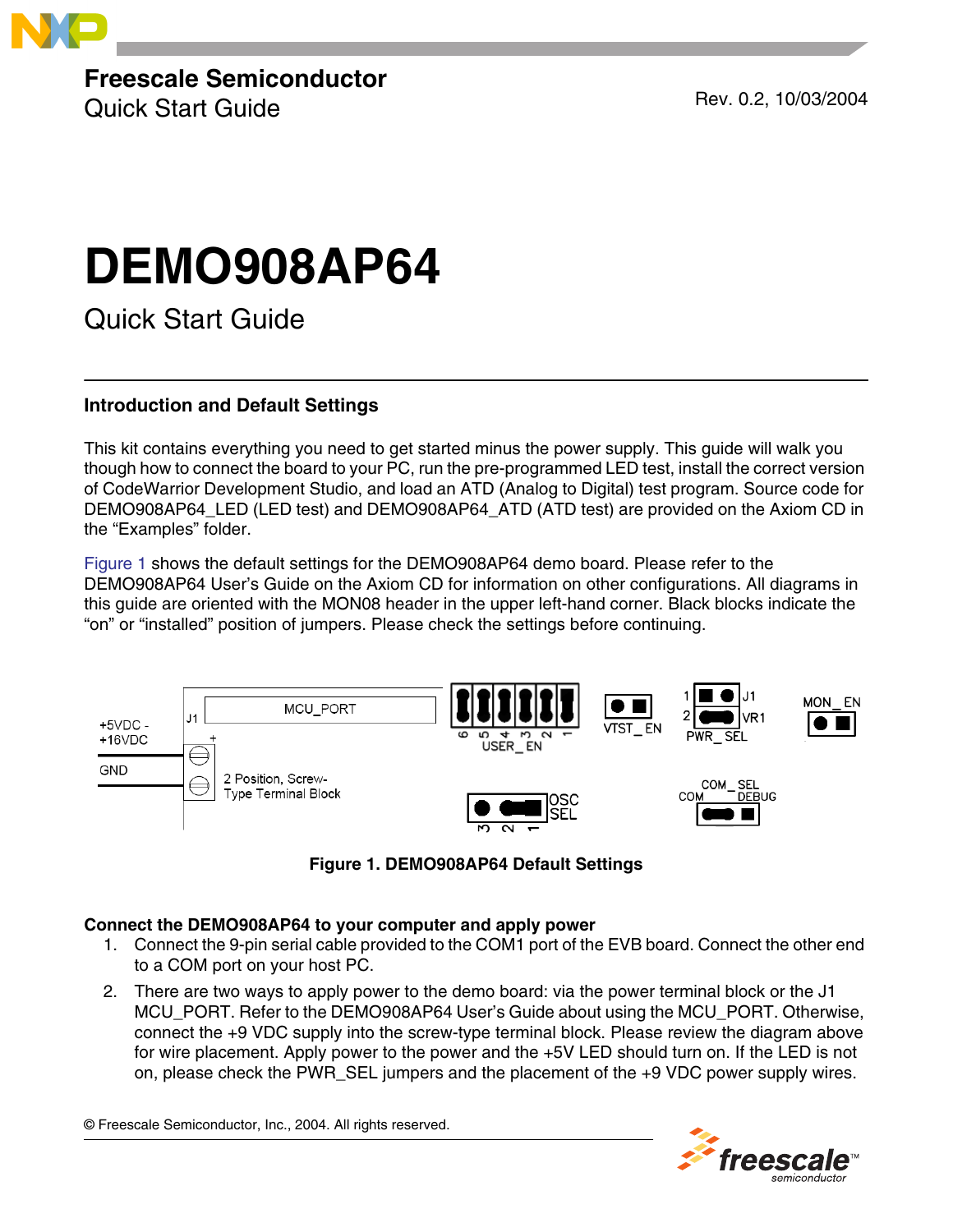

**Freescale Semiconductor**

Quick Start Guide Rev. 0.2, 10/03/2004

# **DEMO908AP64**

Quick Start Guide

# **Introduction and Default Settings**

This kit contains everything you need to get started minus the power supply. This guide will walk you though how to connect the board to your PC, run the pre-programmed LED test, install the correct version of CodeWarrior Development Studio, and load an ATD (Analog to Digital) test program. Source code for DEMO908AP64\_LED (LED test) and DEMO908AP64\_ATD (ATD test) are provided on the Axiom CD in the "Examples" folder.

[Figure 1](#page-0-0) shows the default settings for the DEMO908AP64 demo board. Please refer to the DEMO908AP64 User's Guide on the Axiom CD for information on other configurations. All diagrams in this guide are oriented with the MON08 header in the upper left-hand corner. Black blocks indicate the "on" or "installed" position of jumpers. Please check the settings before continuing.





# <span id="page-0-0"></span>**Connect the DEMO908AP64 to your computer and apply power**

- 1. Connect the 9-pin serial cable provided to the COM1 port of the EVB board. Connect the other end to a COM port on your host PC.
- 2. There are two ways to apply power to the demo board: via the power terminal block or the J1 MCU\_PORT. Refer to the DEMO908AP64 User's Guide about using the MCU\_PORT. Otherwise, connect the +9 VDC supply into the screw-type terminal block. Please review the diagram above for wire placement. Apply power to the power and the +5V LED should turn on. If the LED is not on, please check the PWR\_SEL jumpers and the placement of the +9 VDC power supply wires.

© Freescale Semiconductor, Inc., 2004. All rights reserved.

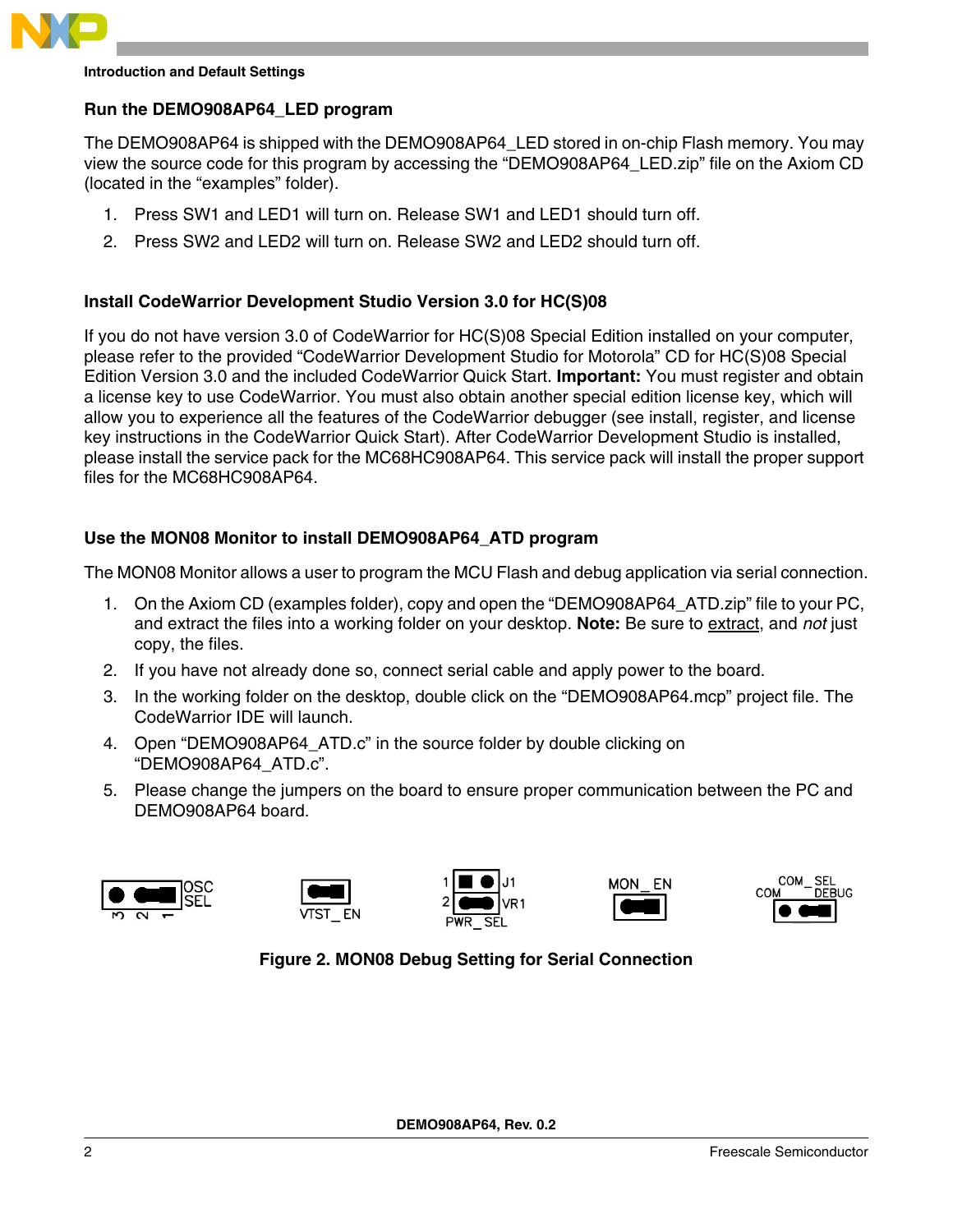

## **Introduction and Default Settings**

## **Run the DEMO908AP64\_LED program**

The DEMO908AP64 is shipped with the DEMO908AP64\_LED stored in on-chip Flash memory. You may view the source code for this program by accessing the "DEMO908AP64\_LED.zip" file on the Axiom CD (located in the "examples" folder).

- 1. Press SW1 and LED1 will turn on. Release SW1 and LED1 should turn off.
- 2. Press SW2 and LED2 will turn on. Release SW2 and LED2 should turn off.

## **Install CodeWarrior Development Studio Version 3.0 for HC(S)08**

If you do not have version 3.0 of CodeWarrior for HC(S)08 Special Edition installed on your computer, please refer to the provided "CodeWarrior Development Studio for Motorola" CD for HC(S)08 Special Edition Version 3.0 and the included CodeWarrior Quick Start. **Important:** You must register and obtain a license key to use CodeWarrior. You must also obtain another special edition license key, which will allow you to experience all the features of the CodeWarrior debugger (see install, register, and license key instructions in the CodeWarrior Quick Start). After CodeWarrior Development Studio is installed, please install the service pack for the MC68HC908AP64. This service pack will install the proper support files for the MC68HC908AP64.

# **Use the MON08 Monitor to install DEMO908AP64\_ATD program**

The MON08 Monitor allows a user to program the MCU Flash and debug application via serial connection.

- 1. On the Axiom CD (examples folder), copy and open the "DEMO908AP64\_ATD.zip" file to your PC, and extract the files into a working folder on your desktop. **Note:** Be sure to extract, and *not* just copy, the files.
- 2. If you have not already done so, connect serial cable and apply power to the board.
- 3. In the working folder on the desktop, double click on the "DEMO908AP64.mcp" project file. The CodeWarrior IDE will launch.
- 4. Open "DEMO908AP64\_ATD.c" in the source folder by double clicking on "DEMO908AP64\_ATD.c".
- 5. Please change the jumpers on the board to ensure proper communication between the PC and DEMO908AP64 board.

<span id="page-1-0"></span>









# **Figure 2. MON08 Debug Setting for Serial Connection**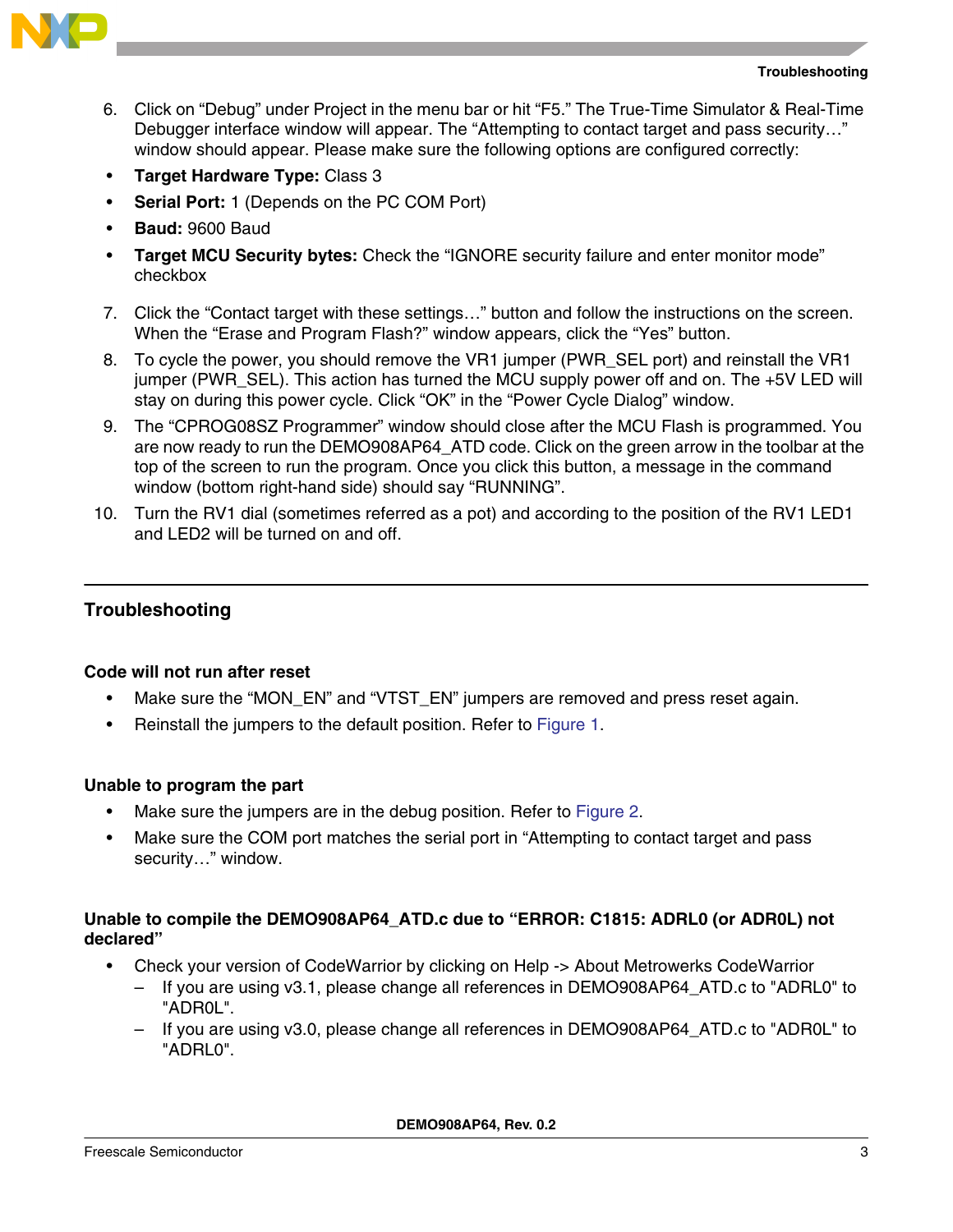



- 6. Click on "Debug" under Project in the menu bar or hit "F5." The True-Time Simulator & Real-Time Debugger interface window will appear. The "Attempting to contact target and pass security…" window should appear. Please make sure the following options are configured correctly:
- **Target Hardware Type:** Class 3
- **Serial Port:** 1 (Depends on the PC COM Port)
- **Baud:** 9600 Baud
- **Target MCU Security bytes:** Check the "IGNORE security failure and enter monitor mode" checkbox
- 7. Click the "Contact target with these settings…" button and follow the instructions on the screen. When the "Erase and Program Flash?" window appears, click the "Yes" button.
- 8. To cycle the power, you should remove the VR1 jumper (PWR\_SEL port) and reinstall the VR1 jumper (PWR SEL). This action has turned the MCU supply power off and on. The +5V LED will stay on during this power cycle. Click "OK" in the "Power Cycle Dialog" window.
- 9. The "CPROG08SZ Programmer" window should close after the MCU Flash is programmed. You are now ready to run the DEMO908AP64\_ATD code. Click on the green arrow in the toolbar at the top of the screen to run the program. Once you click this button, a message in the command window (bottom right-hand side) should say "RUNNING".
- 10. Turn the RV1 dial (sometimes referred as a pot) and according to the position of the RV1 LED1 and LED2 will be turned on and off.

# **Troubleshooting**

# **Code will not run after reset**

- Make sure the "MON\_EN" and "VTST\_EN" jumpers are removed and press reset again.
- Reinstall the jumpers to the default position. Refer to [Figure 1](#page-0-0).

# **Unable to program the part**

- Make sure the jumpers are in the debug position. Refer to [Figure 2](#page-1-0).
- Make sure the COM port matches the serial port in "Attempting to contact target and pass security…" window.

# **Unable to compile the DEMO908AP64\_ATD.c due to "ERROR: C1815: ADRL0 (or ADR0L) not declared"**

- Check your version of CodeWarrior by clicking on Help -> About Metrowerks CodeWarrior
	- If you are using v3.1, please change all references in DEMO908AP64\_ATD.c to "ADRL0" to "ADR0L".
	- If you are using v3.0, please change all references in DEMO908AP64\_ATD.c to "ADR0L" to "ADRL0".

**DEMO908AP64, Rev. 0.2**